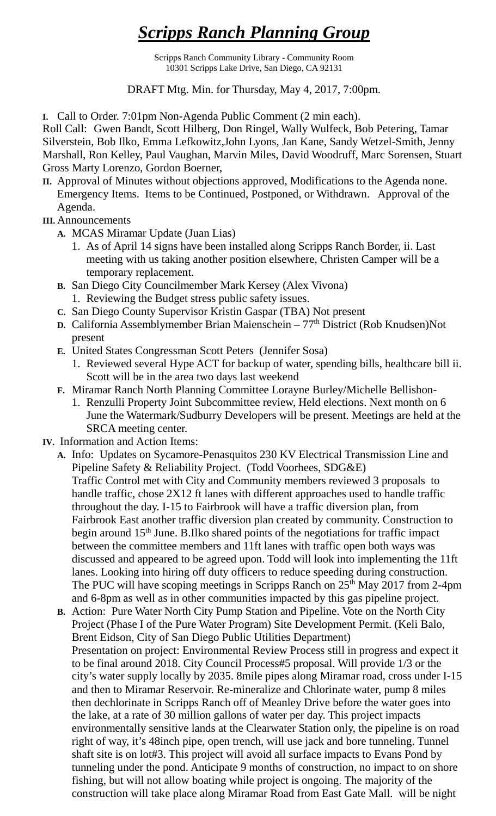## *Scripps Ranch Planning Group*

Scripps Ranch Community Library - Community Room 10301 Scripps Lake Drive, San Diego, CA 92131

DRAFT Mtg. Min. for Thursday, May 4, 2017, 7:00pm.

**I.** Call to Order. 7:01pm Non-Agenda Public Comment (2 min each).

Roll Call: Gwen Bandt, Scott Hilberg, Don Ringel, Wally Wulfeck, Bob Petering, Tamar Silverstein, Bob Ilko, Emma Lefkowitz,John Lyons, Jan Kane, Sandy Wetzel-Smith, Jenny Marshall, Ron Kelley, Paul Vaughan, Marvin Miles, David Woodruff, Marc Sorensen, Stuart Gross Marty Lorenzo, Gordon Boerner,

- **II.** Approval of Minutes without objections approved, Modifications to the Agenda none. Emergency Items. Items to be Continued, Postponed, or Withdrawn. Approval of the Agenda.
- **III.** Announcements
	- **A.** MCAS Miramar Update (Juan Lias)
		- 1. As of April 14 signs have been installed along Scripps Ranch Border, ii. Last meeting with us taking another position elsewhere, Christen Camper will be a temporary replacement.
	- **B.** San Diego City Councilmember Mark Kersey (Alex Vivona) 1. Reviewing the Budget stress public safety issues.
	- **C.** San Diego County Supervisor Kristin Gaspar (TBA) Not present
	- **D.** California Assemblymember Brian Maienschein 77<sup>th</sup> District (Rob Knudsen)Not present
	- **E.** United States Congressman Scott Peters (Jennifer Sosa)
		- 1. Reviewed several Hype ACT for backup of water, spending bills, healthcare bill ii. Scott will be in the area two days last weekend
	- **F.** Miramar Ranch North Planning Committee Lorayne Burley/Michelle Bellishon-
		- 1. Renzulli Property Joint Subcommittee review, Held elections. Next month on 6 June the Watermark/Sudburry Developers will be present. Meetings are held at the SRCA meeting center.
- **IV.** Information and Action Items:
	- **A.** Info: Updates on Sycamore-Penasquitos 230 KV Electrical Transmission Line and Pipeline Safety & Reliability Project. (Todd Voorhees, SDG&E) Traffic Control met with City and Community members reviewed 3 proposals to handle traffic, chose 2X12 ft lanes with different approaches used to handle traffic throughout the day. I-15 to Fairbrook will have a traffic diversion plan, from Fairbrook East another traffic diversion plan created by community. Construction to begin around 15<sup>th</sup> June. B.Ilko shared points of the negotiations for traffic impact between the committee members and 11ft lanes with traffic open both ways was discussed and appeared to be agreed upon. Todd will look into implementing the 11ft lanes. Looking into hiring off duty officers to reduce speeding during construction. The PUC will have scoping meetings in Scripps Ranch on  $25<sup>th</sup>$  May 2017 from 2-4pm and 6-8pm as well as in other communities impacted by this gas pipeline project.
	- **B.** Action: Pure Water North City Pump Station and Pipeline. Vote on the North City Project (Phase I of the Pure Water Program) Site Development Permit. (Keli Balo, Brent Eidson, City of San Diego Public Utilities Department) Presentation on project: Environmental Review Process still in progress and expect it to be final around 2018. City Council Process#5 proposal. Will provide 1/3 or the city's water supply locally by 2035. 8mile pipes along Miramar road, cross under I-15 and then to Miramar Reservoir. Re-mineralize and Chlorinate water, pump 8 miles then dechlorinate in Scripps Ranch off of Meanley Drive before the water goes into the lake, at a rate of 30 million gallons of water per day. This project impacts environmentally sensitive lands at the Clearwater Station only, the pipeline is on road right of way, it's 48inch pipe, open trench, will use jack and bore tunneling. Tunnel shaft site is on lot#3. This project will avoid all surface impacts to Evans Pond by tunneling under the pond. Anticipate 9 months of construction, no impact to on shore fishing, but will not allow boating while project is ongoing. The majority of the construction will take place along Miramar Road from East Gate Mall. will be night